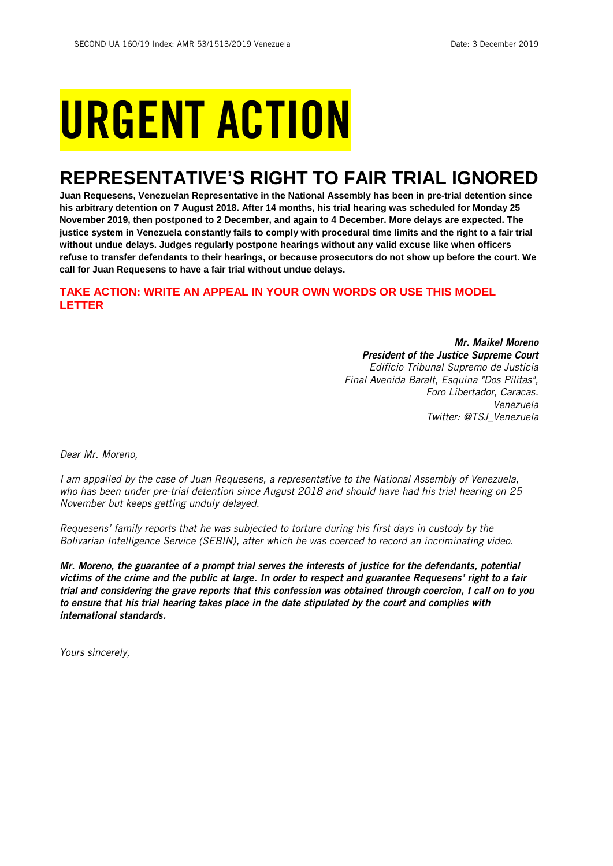# URGENT ACTION

## **REPRESENTATIVE'S RIGHT TO FAIR TRIAL IGNORED**

**Juan Requesens, Venezuelan Representative in the National Assembly has been in pre-trial detention since his arbitrary detention on 7 August 2018. After 14 months, his trial hearing was scheduled for Monday 25 November 2019, then postponed to 2 December, and again to 4 December. More delays are expected. The justice system in Venezuela constantly fails to comply with procedural time limits and the right to a fair trial without undue delays. Judges regularly postpone hearings without any valid excuse like when officers refuse to transfer defendants to their hearings, or because prosecutors do not show up before the court. We call for Juan Requesens to have a fair trial without undue delays.**

## **TAKE ACTION: WRITE AN APPEAL IN YOUR OWN WORDS OR USE THIS MODEL LETTER**

*Mr. Maikel Moreno President of the Justice Supreme Court Edificio Tribunal Supremo de Justicia Final Avenida Baralt, Esquina "Dos Pilitas", Foro Libertador, Caracas. Venezuela Twitter: @TSJ\_Venezuela*

*Dear Mr. Moreno,*

*I am appalled by the case of Juan Requesens, a representative to the National Assembly of Venezuela, who has been under pre-trial detention since August 2018 and should have had his trial hearing on 25 November but keeps getting unduly delayed.*

*Requesens' family reports that he was subjected to torture during his first days in custody by the Bolivarian Intelligence Service (SEBIN), after which he was coerced to record an incriminating video.*

*Mr. Moreno, the guarantee of a prompt trial serves the interests of justice for the defendants, potential victims of the crime and the public at large. In order to respect and guarantee Requesens' right to a fair trial and considering the grave reports that this confession was obtained through coercion, I call on to you to ensure that his trial hearing takes place in the date stipulated by the court and complies with international standards.* 

*Yours sincerely,*